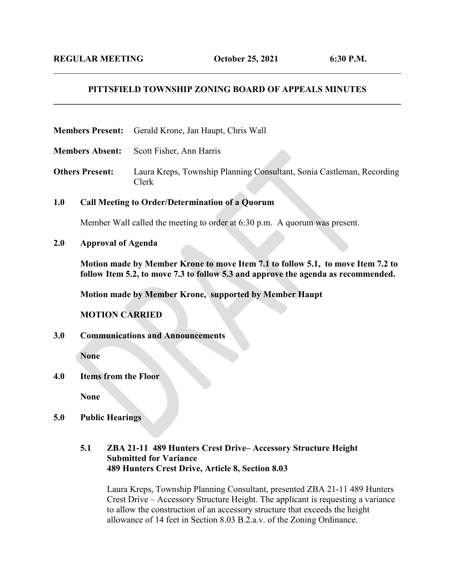### **PITTSFIELD TOWNSHIP ZONING BOARD OF APPEALS MINUTES \_\_\_\_\_\_\_\_\_\_\_\_\_\_\_\_\_\_\_\_\_\_\_\_\_\_\_\_\_\_\_\_\_\_\_\_\_\_\_\_\_\_\_\_\_\_\_\_\_\_\_\_\_\_\_\_\_\_\_\_\_\_\_\_\_\_\_\_\_\_\_\_\_\_\_\_\_\_**

 $\mathcal{L}_\mathcal{L} = \mathcal{L}_\mathcal{L} = \mathcal{L}_\mathcal{L} = \mathcal{L}_\mathcal{L} = \mathcal{L}_\mathcal{L} = \mathcal{L}_\mathcal{L} = \mathcal{L}_\mathcal{L} = \mathcal{L}_\mathcal{L} = \mathcal{L}_\mathcal{L} = \mathcal{L}_\mathcal{L} = \mathcal{L}_\mathcal{L} = \mathcal{L}_\mathcal{L} = \mathcal{L}_\mathcal{L} = \mathcal{L}_\mathcal{L} = \mathcal{L}_\mathcal{L} = \mathcal{L}_\mathcal{L} = \mathcal{L}_\mathcal{L}$ 

**Members Present:** Gerald Krone, Jan Haupt, Chris Wall

- **Members Absent:** Scott Fisher, Ann Harris
- **Others Present:** Laura Kreps, Township Planning Consultant, Sonia Castleman, Recording Clerk

#### **1.0 Call Meeting to Order/Determination of a Quorum**

Member Wall called the meeting to order at 6:30 p.m. A quorum was present.

**2.0 Approval of Agenda**

**Motion made by Member Krone to move Item 7.1 to follow 5.1, to move Item 7.2 to follow Item 5.2, to move 7.3 to follow 5.3 and approve the agenda as recommended.**

**Motion made by Member Krone, supported by Member Haupt**

**MOTION CARRIED**

**3.0 Communications and Announcements**

**None**

**4.0 Items from the Floor**

**None**

- **5.0 Public Hearings**
	- **5.1 ZBA 21-11 489 Hunters Crest Drive– Accessory Structure Height Submitted for Variance 489 Hunters Crest Drive, Article 8, Section 8.03**

Laura Kreps, Township Planning Consultant, presented ZBA 21-11 489 Hunters Crest Drive – Accessory Structure Height. The applicant is requesting a variance to allow the construction of an accessory structure that exceeds the height allowance of 14 feet in Section 8.03 B.2.a.v. of the Zoning Ordinance.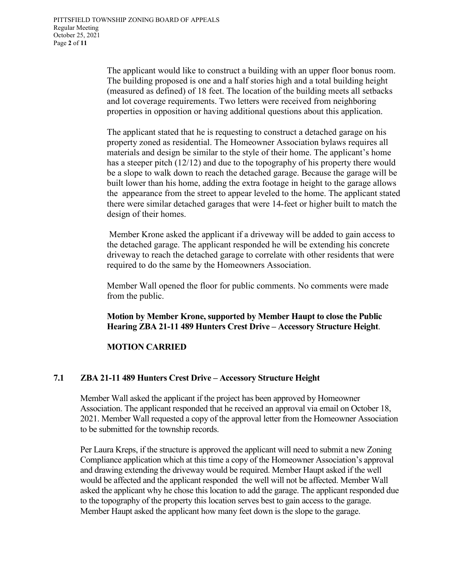The applicant would like to construct a building with an upper floor bonus room. The building proposed is one and a half stories high and a total building height (measured as defined) of 18 feet. The location of the building meets all setbacks and lot coverage requirements. Two letters were received from neighboring properties in opposition or having additional questions about this application.

The applicant stated that he is requesting to construct a detached garage on his property zoned as residential. The Homeowner Association bylaws requires all materials and design be similar to the style of their home. The applicant's home has a steeper pitch (12/12) and due to the topography of his property there would be a slope to walk down to reach the detached garage. Because the garage will be built lower than his home, adding the extra footage in height to the garage allows the appearance from the street to appear leveled to the home. The applicant stated there were similar detached garages that were 14-feet or higher built to match the design of their homes.

Member Krone asked the applicant if a driveway will be added to gain access to the detached garage. The applicant responded he will be extending his concrete driveway to reach the detached garage to correlate with other residents that were required to do the same by the Homeowners Association.

Member Wall opened the floor for public comments. No comments were made from the public.

**Motion by Member Krone, supported by Member Haupt to close the Public Hearing ZBA 21-11 489 Hunters Crest Drive – Accessory Structure Height**.

# **MOTION CARRIED**

# **7.1 ZBA 21-11 489 Hunters Crest Drive – Accessory Structure Height**

Member Wall asked the applicant if the project has been approved by Homeowner Association. The applicant responded that he received an approval via email on October 18, 2021. Member Wall requested a copy of the approval letter from the Homeowner Association to be submitted for the township records.

Per Laura Kreps, if the structure is approved the applicant will need to submit a new Zoning Compliance application which at this time a copy of the Homeowner Association's approval and drawing extending the driveway would be required. Member Haupt asked if the well would be affected and the applicant responded the well will not be affected. Member Wall asked the applicant why he chose this location to add the garage. The applicant responded due to the topography of the property this location serves best to gain access to the garage. Member Haupt asked the applicant how many feet down is the slope to the garage.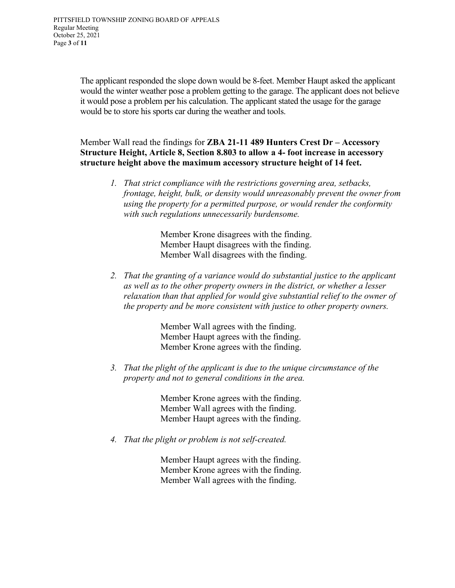The applicant responded the slope down would be 8-feet. Member Haupt asked the applicant would the winter weather pose a problem getting to the garage. The applicant does not believe it would pose a problem per his calculation. The applicant stated the usage for the garage would be to store his sports car during the weather and tools.

Member Wall read the findings for **ZBA 21-11 489 Hunters Crest Dr – Accessory Structure Height, Article 8, Section 8.803 to allow a 4- foot increase in accessory structure height above the maximum accessory structure height of 14 feet.** 

*1. That strict compliance with the restrictions governing area, setbacks, frontage, height, bulk, or density would unreasonably prevent the owner from using the property for a permitted purpose, or would render the conformity with such regulations unnecessarily burdensome.*

> Member Krone disagrees with the finding. Member Haupt disagrees with the finding. Member Wall disagrees with the finding.

*2. That the granting of a variance would do substantial justice to the applicant as well as to the other property owners in the district, or whether a lesser relaxation than that applied for would give substantial relief to the owner of the property and be more consistent with justice to other property owners.*

> Member Wall agrees with the finding. Member Haupt agrees with the finding. Member Krone agrees with the finding.

*3. That the plight of the applicant is due to the unique circumstance of the property and not to general conditions in the area.*

> Member Krone agrees with the finding. Member Wall agrees with the finding. Member Haupt agrees with the finding.

*4. That the plight or problem is not self-created.*

Member Haupt agrees with the finding. Member Krone agrees with the finding. Member Wall agrees with the finding.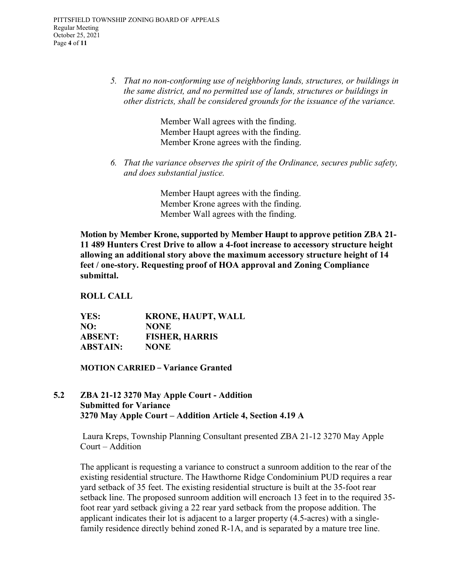*5. That no non-conforming use of neighboring lands, structures, or buildings in the same district, and no permitted use of lands, structures or buildings in other districts, shall be considered grounds for the issuance of the variance.*

> Member Wall agrees with the finding. Member Haupt agrees with the finding. Member Krone agrees with the finding.

*6. That the variance observes the spirit of the Ordinance, secures public safety, and does substantial justice.*

> Member Haupt agrees with the finding. Member Krone agrees with the finding. Member Wall agrees with the finding.

**Motion by Member Krone, supported by Member Haupt to approve petition ZBA 21- 11 489 Hunters Crest Drive to allow a 4-foot increase to accessory structure height allowing an additional story above the maximum accessory structure height of 14 feet / one-story. Requesting proof of HOA approval and Zoning Compliance submittal.** 

**ROLL CALL**

**YES: KRONE, HAUPT, WALL NO: NONE ABSENT: FISHER, HARRIS ABSTAIN: NONE**

**MOTION CARRIED** – **Variance Granted**

### **5.2 ZBA 21-12 3270 May Apple Court - Addition Submitted for Variance 3270 May Apple Court – Addition Article 4, Section 4.19 A**

Laura Kreps, Township Planning Consultant presented ZBA 21-12 3270 May Apple Court – Addition

The applicant is requesting a variance to construct a sunroom addition to the rear of the existing residential structure. The Hawthorne Ridge Condominium PUD requires a rear yard setback of 35 feet. The existing residential structure is built at the 35-foot rear setback line. The proposed sunroom addition will encroach 13 feet in to the required 35 foot rear yard setback giving a 22 rear yard setback from the propose addition. The applicant indicates their lot is adjacent to a larger property (4.5-acres) with a singlefamily residence directly behind zoned R-1A, and is separated by a mature tree line.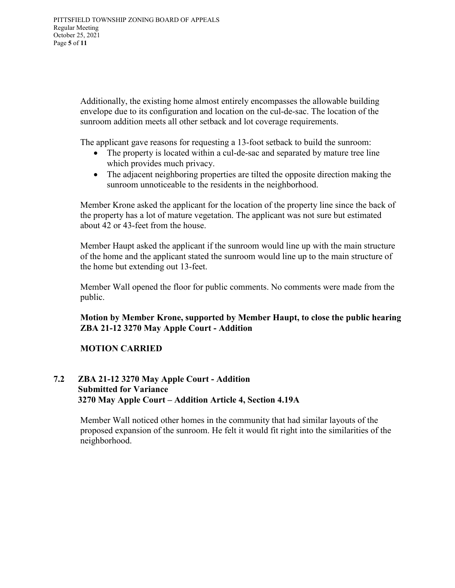Additionally, the existing home almost entirely encompasses the allowable building envelope due to its configuration and location on the cul-de-sac. The location of the sunroom addition meets all other setback and lot coverage requirements.

The applicant gave reasons for requesting a 13-foot setback to build the sunroom:

- The property is located within a cul-de-sac and separated by mature tree line which provides much privacy.
- The adjacent neighboring properties are tilted the opposite direction making the sunroom unnoticeable to the residents in the neighborhood.

Member Krone asked the applicant for the location of the property line since the back of the property has a lot of mature vegetation. The applicant was not sure but estimated about 42 or 43-feet from the house.

Member Haupt asked the applicant if the sunroom would line up with the main structure of the home and the applicant stated the sunroom would line up to the main structure of the home but extending out 13-feet.

Member Wall opened the floor for public comments. No comments were made from the public.

**Motion by Member Krone, supported by Member Haupt, to close the public hearing ZBA 21-12 3270 May Apple Court - Addition**

# **MOTION CARRIED**

# **7.2 ZBA 21-12 3270 May Apple Court - Addition Submitted for Variance 3270 May Apple Court – Addition Article 4, Section 4.19A**

Member Wall noticed other homes in the community that had similar layouts of the proposed expansion of the sunroom. He felt it would fit right into the similarities of the neighborhood.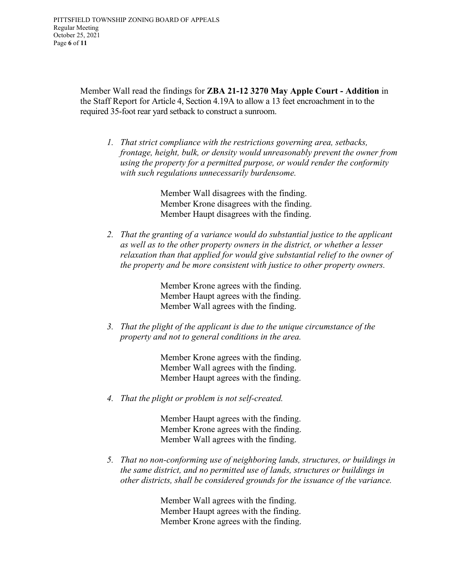Member Wall read the findings for **ZBA 21-12 3270 May Apple Court - Addition** in the Staff Report for Article 4, Section 4.19A to allow a 13 feet encroachment in to the required 35-foot rear yard setback to construct a sunroom.

*1. That strict compliance with the restrictions governing area, setbacks, frontage, height, bulk, or density would unreasonably prevent the owner from using the property for a permitted purpose, or would render the conformity with such regulations unnecessarily burdensome.*

> Member Wall disagrees with the finding. Member Krone disagrees with the finding. Member Haupt disagrees with the finding.

*2. That the granting of a variance would do substantial justice to the applicant as well as to the other property owners in the district, or whether a lesser relaxation than that applied for would give substantial relief to the owner of the property and be more consistent with justice to other property owners.*

> Member Krone agrees with the finding. Member Haupt agrees with the finding. Member Wall agrees with the finding.

*3. That the plight of the applicant is due to the unique circumstance of the property and not to general conditions in the area.*

> Member Krone agrees with the finding. Member Wall agrees with the finding. Member Haupt agrees with the finding.

*4. That the plight or problem is not self-created.*

Member Haupt agrees with the finding. Member Krone agrees with the finding. Member Wall agrees with the finding.

*5. That no non-conforming use of neighboring lands, structures, or buildings in the same district, and no permitted use of lands, structures or buildings in other districts, shall be considered grounds for the issuance of the variance.*

> Member Wall agrees with the finding. Member Haupt agrees with the finding. Member Krone agrees with the finding.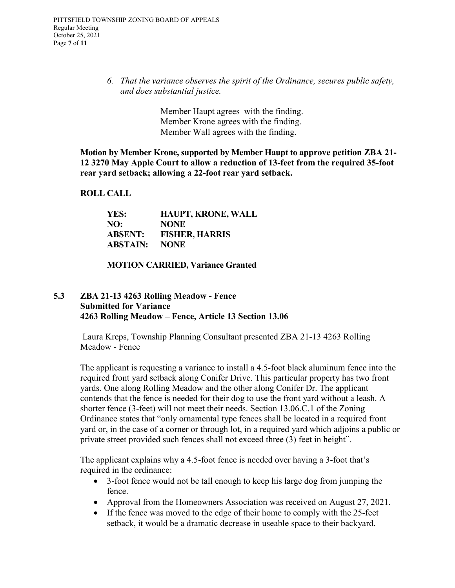*6. That the variance observes the spirit of the Ordinance, secures public safety, and does substantial justice.*

> Member Haupt agrees with the finding. Member Krone agrees with the finding. Member Wall agrees with the finding.

**Motion by Member Krone, supported by Member Haupt to approve petition ZBA 21- 12 3270 May Apple Court to allow a reduction of 13-feet from the required 35-foot rear yard setback; allowing a 22-foot rear yard setback.**

### **ROLL CALL**

| YES:            | <b>HAUPT, KRONE, WALL</b> |
|-----------------|---------------------------|
| NO:             | <b>NONE</b>               |
| <b>ABSENT:</b>  | <b>FISHER, HARRIS</b>     |
| <b>ABSTAIN:</b> | <b>NONE</b>               |

#### **MOTION CARRIED, Variance Granted**

#### **5.3 ZBA 21-13 4263 Rolling Meadow - Fence Submitted for Variance 4263 Rolling Meadow – Fence, Article 13 Section 13.06**

Laura Kreps, Township Planning Consultant presented ZBA 21-13 4263 Rolling Meadow - Fence

The applicant is requesting a variance to install a 4.5-foot black aluminum fence into the required front yard setback along Conifer Drive. This particular property has two front yards. One along Rolling Meadow and the other along Conifer Dr. The applicant contends that the fence is needed for their dog to use the front yard without a leash. A shorter fence (3-feet) will not meet their needs. Section 13.06.C.1 of the Zoning Ordinance states that "only ornamental type fences shall be located in a required front yard or, in the case of a corner or through lot, in a required yard which adjoins a public or private street provided such fences shall not exceed three (3) feet in height".

The applicant explains why a 4.5-foot fence is needed over having a 3-foot that's required in the ordinance:

- 3-foot fence would not be tall enough to keep his large dog from jumping the fence.
- Approval from the Homeowners Association was received on August 27, 2021.
- If the fence was moved to the edge of their home to comply with the 25-feet setback, it would be a dramatic decrease in useable space to their backyard.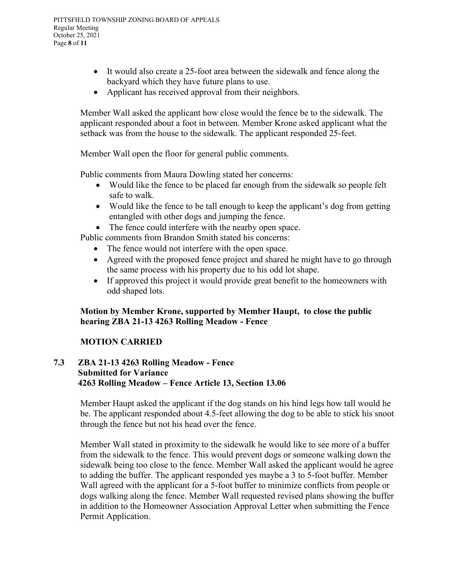- It would also create a 25-foot area between the sidewalk and fence along the backyard which they have future plans to use.
- Applicant has received approval from their neighbors.

Member Wall asked the applicant how close would the fence be to the sidewalk. The applicant responded about a foot in between. Member Krone asked applicant what the setback was from the house to the sidewalk. The applicant responded 25-feet.

Member Wall open the floor for general public comments.

Public comments from Maura Dowling stated her concerns:

- Would like the fence to be placed far enough from the sidewalk so people felt safe to walk.
- Would like the fence to be tall enough to keep the applicant's dog from getting entangled with other dogs and jumping the fence.
- The fence could interfere with the nearby open space.

Public comments from Brandon Smith stated his concerns:

- The fence would not interfere with the open space.
- Agreed with the proposed fence project and shared he might have to go through the same process with his property due to his odd lot shape.
- If approved this project it would provide great benefit to the homeowners with odd shaped lots.

# **Motion by Member Krone, supported by Member Haupt, to close the public hearing ZBA 21-13 4263 Rolling Meadow - Fence**

# **MOTION CARRIED**

### **7.3 ZBA 21-13 4263 Rolling Meadow - Fence Submitted for Variance 4263 Rolling Meadow – Fence Article 13, Section 13.06**

Member Haupt asked the applicant if the dog stands on his hind legs how tall would he be. The applicant responded about 4.5-feet allowing the dog to be able to stick his snoot through the fence but not his head over the fence.

Member Wall stated in proximity to the sidewalk he would like to see more of a buffer from the sidewalk to the fence. This would prevent dogs or someone walking down the sidewalk being too close to the fence. Member Wall asked the applicant would he agree to adding the buffer. The applicant responded yes maybe a 3 to 5-foot buffer. Member Wall agreed with the applicant for a 5-foot buffer to minimize conflicts from people or dogs walking along the fence. Member Wall requested revised plans showing the buffer in addition to the Homeowner Association Approval Letter when submitting the Fence Permit Application.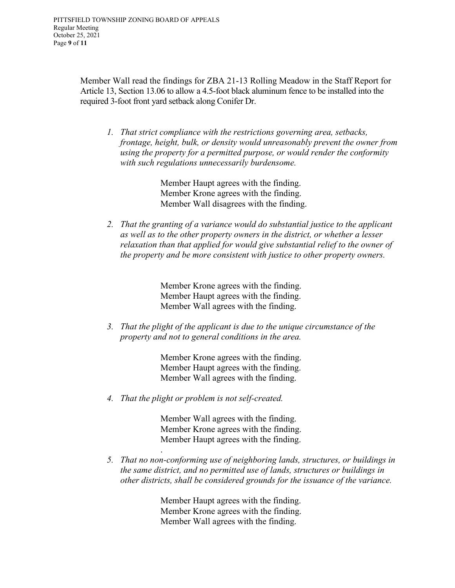Member Wall read the findings for ZBA 21-13 Rolling Meadow in the Staff Report for Article 13, Section 13.06 to allow a 4.5-foot black aluminum fence to be installed into the required 3-foot front yard setback along Conifer Dr.

*1. That strict compliance with the restrictions governing area, setbacks, frontage, height, bulk, or density would unreasonably prevent the owner from using the property for a permitted purpose, or would render the conformity with such regulations unnecessarily burdensome.*

> Member Haupt agrees with the finding. Member Krone agrees with the finding. Member Wall disagrees with the finding.

*2. That the granting of a variance would do substantial justice to the applicant as well as to the other property owners in the district, or whether a lesser relaxation than that applied for would give substantial relief to the owner of the property and be more consistent with justice to other property owners.*

> Member Krone agrees with the finding. Member Haupt agrees with the finding. Member Wall agrees with the finding.

*3. That the plight of the applicant is due to the unique circumstance of the property and not to general conditions in the area.*

> Member Krone agrees with the finding. Member Haupt agrees with the finding. Member Wall agrees with the finding.

*4. That the plight or problem is not self-created.*

Member Wall agrees with the finding. Member Krone agrees with the finding. Member Haupt agrees with the finding.

. *5. That no non-conforming use of neighboring lands, structures, or buildings in the same district, and no permitted use of lands, structures or buildings in other districts, shall be considered grounds for the issuance of the variance.*

> Member Haupt agrees with the finding. Member Krone agrees with the finding. Member Wall agrees with the finding.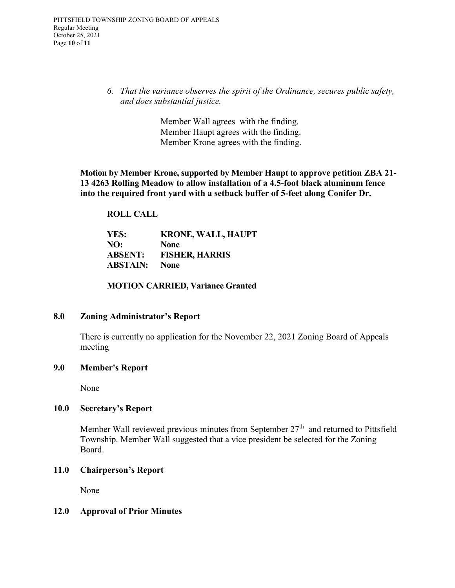*6. That the variance observes the spirit of the Ordinance, secures public safety, and does substantial justice.*

> Member Wall agrees with the finding. Member Haupt agrees with the finding. Member Krone agrees with the finding.

**Motion by Member Krone, supported by Member Haupt to approve petition ZBA 21- 13 4263 Rolling Meadow to allow installation of a 4.5-foot black aluminum fence into the required front yard with a setback buffer of 5-feet along Conifer Dr.** 

#### **ROLL CALL**

**YES: KRONE, WALL, HAUPT NO: None ABSENT: FISHER, HARRIS ABSTAIN: None**

**MOTION CARRIED, Variance Granted**

#### **8.0 Zoning Administrator's Report**

There is currently no application for the November 22, 2021 Zoning Board of Appeals meeting

#### **9.0 Member's Report**

None

#### **10.0 Secretary's Report**

Member Wall reviewed previous minutes from September  $27<sup>th</sup>$  and returned to Pittsfield Township. Member Wall suggested that a vice president be selected for the Zoning Board.

### **11.0 Chairperson's Report**

None

# **12.0 Approval of Prior Minutes**